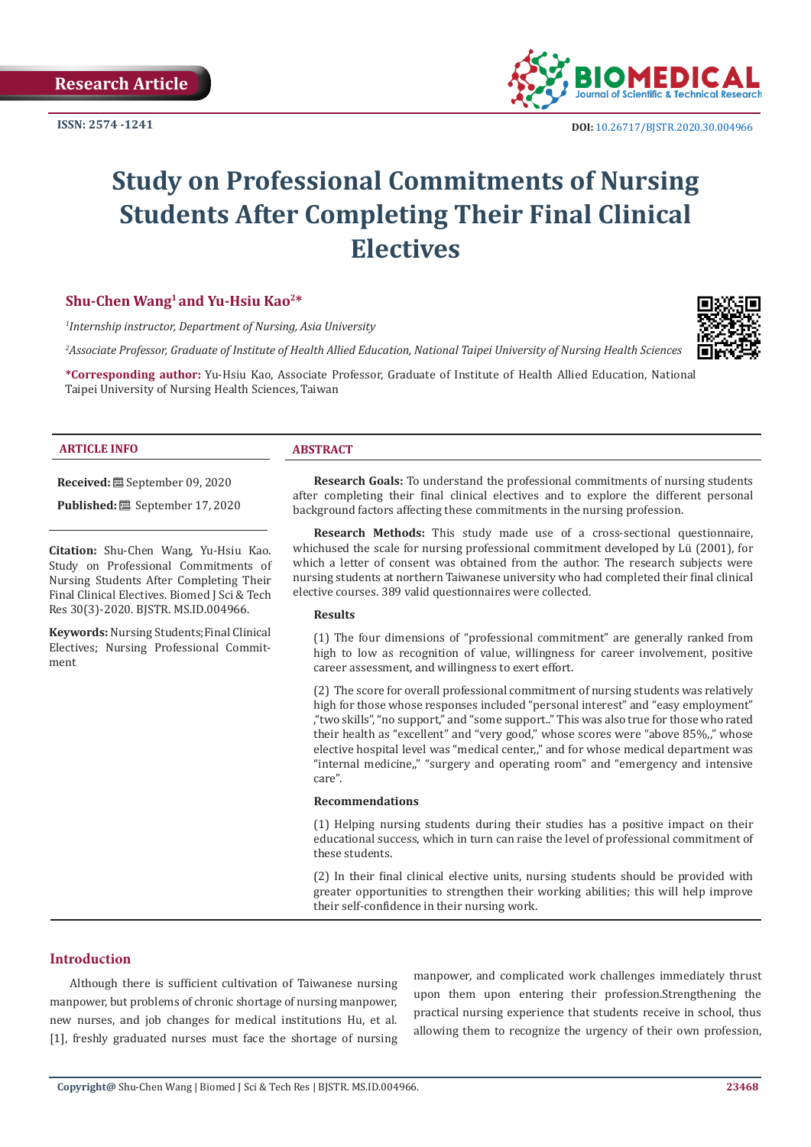

# **Study on Professional Commitments of Nursing Students After Completing Their Final Clinical Electives**

#### **Shu-Chen Wang1 and Yu-Hsiu Kao2\***

*1 Internship instructor, Department of Nursing, Asia University*

*2 Associate Professor, Graduate of Institute of Health Allied Education, National Taipei University of Nursing Health Sciences*

**\*Corresponding author:** Yu-Hsiu Kao, Associate Professor, Graduate of Institute of Health Allied Education, National Taipei University of Nursing Health Sciences, Taiwan

#### **ARTICLE INFO ABSTRACT**

**Received:** September 09, 2020

**Published:** <sup>8</sup> September 17, 2020

**Citation:** Shu-Chen Wang, Yu-Hsiu Kao. Study on Professional Commitments of Nursing Students After Completing Their Final Clinical Electives. Biomed J Sci & Tech Res 30(3)-2020. BJSTR. MS.ID.004966.

**Keywords:** Nursing Students;Final Clinical Electives; Nursing Professional Commitment

**Research Goals:** To understand the professional commitments of nursing students after completing their final clinical electives and to explore the different personal background factors affecting these commitments in the nursing profession.

**Research Methods:** This study made use of a cross-sectional questionnaire, whichused the scale for nursing professional commitment developed by Lü (2001), for which a letter of consent was obtained from the author. The research subjects were nursing students at northern Taiwanese university who had completed their final clinical elective courses. 389 valid questionnaires were collected.

#### **Results**

(1) The four dimensions of "professional commitment" are generally ranked from high to low as recognition of value, willingness for career involvement, positive career assessment, and willingness to exert effort.

(2) The score for overall professional commitment of nursing students was relatively high for those whose responses included "personal interest" and "easy employment" ,"two skills", "no support," and "some support.." This was also true for those who rated their health as "excellent" and "very good," whose scores were "above 85%,," whose elective hospital level was "medical center,," and for whose medical department was "internal medicine,," "surgery and operating room" and "emergency and intensive care".

#### **Recommendations**

(1) Helping nursing students during their studies has a positive impact on their educational success, which in turn can raise the level of professional commitment of these students.

(2) In their final clinical elective units, nursing students should be provided with greater opportunities to strengthen their working abilities; this will help improve their self-confidence in their nursing work.

### **Introduction**

Although there is sufficient cultivation of Taiwanese nursing manpower, but problems of chronic shortage of nursing manpower, new nurses, and job changes for medical institutions Hu, et al. [1], freshly graduated nurses must face the shortage of nursing manpower, and complicated work challenges immediately thrust upon them upon entering their profession.Strengthening the practical nursing experience that students receive in school, thus allowing them to recognize the urgency of their own profession,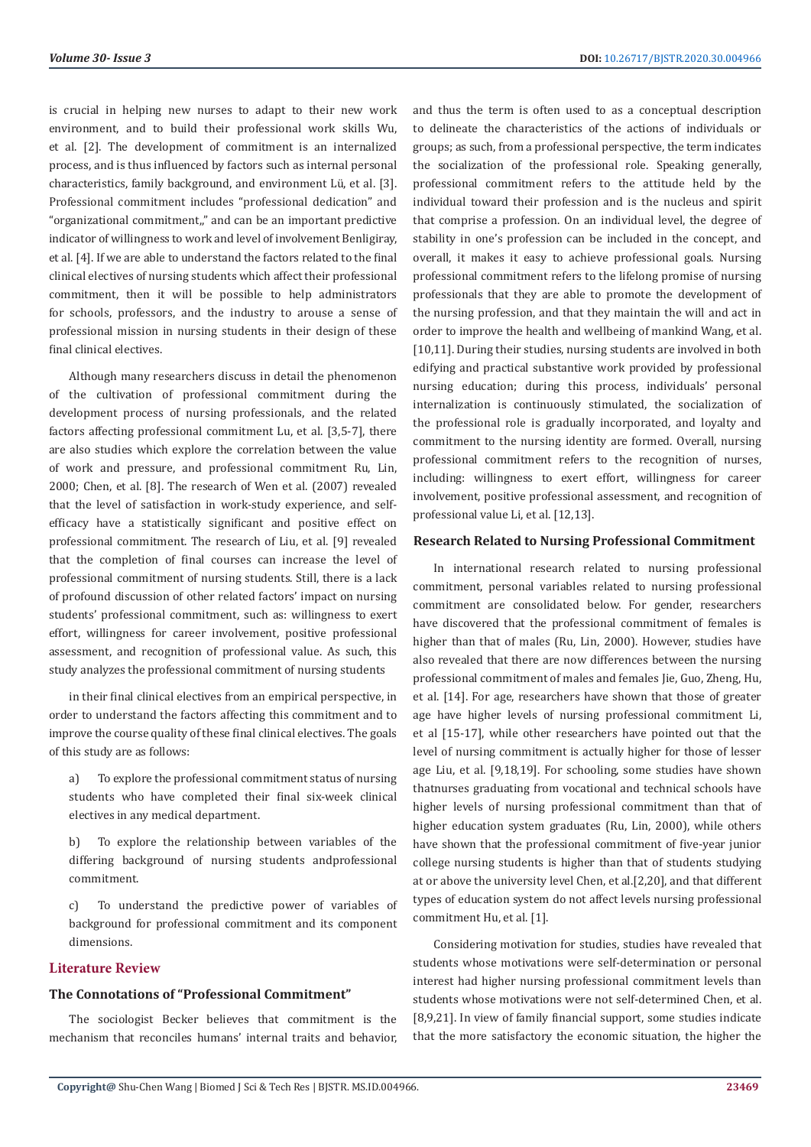is crucial in helping new nurses to adapt to their new work environment, and to build their professional work skills Wu, et al. [2]. The development of commitment is an internalized process, and is thus influenced by factors such as internal personal characteristics, family background, and environment Lü, et al. [3]. Professional commitment includes "professional dedication" and "organizational commitment,," and can be an important predictive indicator of willingness to work and level of involvement Benligiray, et al. [4]. If we are able to understand the factors related to the final clinical electives of nursing students which affect their professional commitment, then it will be possible to help administrators for schools, professors, and the industry to arouse a sense of professional mission in nursing students in their design of these final clinical electives.

Although many researchers discuss in detail the phenomenon of the cultivation of professional commitment during the development process of nursing professionals, and the related factors affecting professional commitment Lu, et al. [3,5-7], there are also studies which explore the correlation between the value of work and pressure, and professional commitment Ru, Lin, 2000; Chen, et al. [8]. The research of Wen et al. (2007) revealed that the level of satisfaction in work-study experience, and selfefficacy have a statistically significant and positive effect on professional commitment. The research of Liu, et al. [9] revealed that the completion of final courses can increase the level of professional commitment of nursing students. Still, there is a lack of profound discussion of other related factors' impact on nursing students' professional commitment, such as: willingness to exert effort, willingness for career involvement, positive professional assessment, and recognition of professional value. As such, this study analyzes the professional commitment of nursing students

in their final clinical electives from an empirical perspective, in order to understand the factors affecting this commitment and to improve the course quality of these final clinical electives. The goals of this study are as follows:

a) To explore the professional commitment status of nursing students who have completed their final six-week clinical electives in any medical department.

b) To explore the relationship between variables of the differing background of nursing students andprofessional commitment.

c) To understand the predictive power of variables of background for professional commitment and its component dimensions.

#### **Literature Review**

#### **The Connotations of "Professional Commitment"**

The sociologist Becker believes that commitment is the mechanism that reconciles humans' internal traits and behavior, and thus the term is often used to as a conceptual description to delineate the characteristics of the actions of individuals or groups; as such, from a professional perspective, the term indicates the socialization of the professional role. Speaking generally, professional commitment refers to the attitude held by the individual toward their profession and is the nucleus and spirit that comprise a profession. On an individual level, the degree of stability in one's profession can be included in the concept, and overall, it makes it easy to achieve professional goals. Nursing professional commitment refers to the lifelong promise of nursing professionals that they are able to promote the development of the nursing profession, and that they maintain the will and act in order to improve the health and wellbeing of mankind Wang, et al. [10,11]. During their studies, nursing students are involved in both edifying and practical substantive work provided by professional nursing education; during this process, individuals' personal internalization is continuously stimulated, the socialization of the professional role is gradually incorporated, and loyalty and commitment to the nursing identity are formed. Overall, nursing professional commitment refers to the recognition of nurses, including: willingness to exert effort, willingness for career involvement, positive professional assessment, and recognition of professional value Li, et al. [12,13].

#### **Research Related to Nursing Professional Commitment**

In international research related to nursing professional commitment, personal variables related to nursing professional commitment are consolidated below. For gender, researchers have discovered that the professional commitment of females is higher than that of males (Ru, Lin, 2000). However, studies have also revealed that there are now differences between the nursing professional commitment of males and females Jie, Guo, Zheng, Hu, et al. [14]. For age, researchers have shown that those of greater age have higher levels of nursing professional commitment Li, et al [15-17], while other researchers have pointed out that the level of nursing commitment is actually higher for those of lesser age Liu, et al. [9,18,19]. For schooling, some studies have shown thatnurses graduating from vocational and technical schools have higher levels of nursing professional commitment than that of higher education system graduates (Ru, Lin, 2000), while others have shown that the professional commitment of five-year junior college nursing students is higher than that of students studying at or above the university level Chen, et al.[2,20], and that different types of education system do not affect levels nursing professional commitment Hu, et al. [1].

Considering motivation for studies, studies have revealed that students whose motivations were self-determination or personal interest had higher nursing professional commitment levels than students whose motivations were not self-determined Chen, et al. [8,9,21]. In view of family financial support, some studies indicate that the more satisfactory the economic situation, the higher the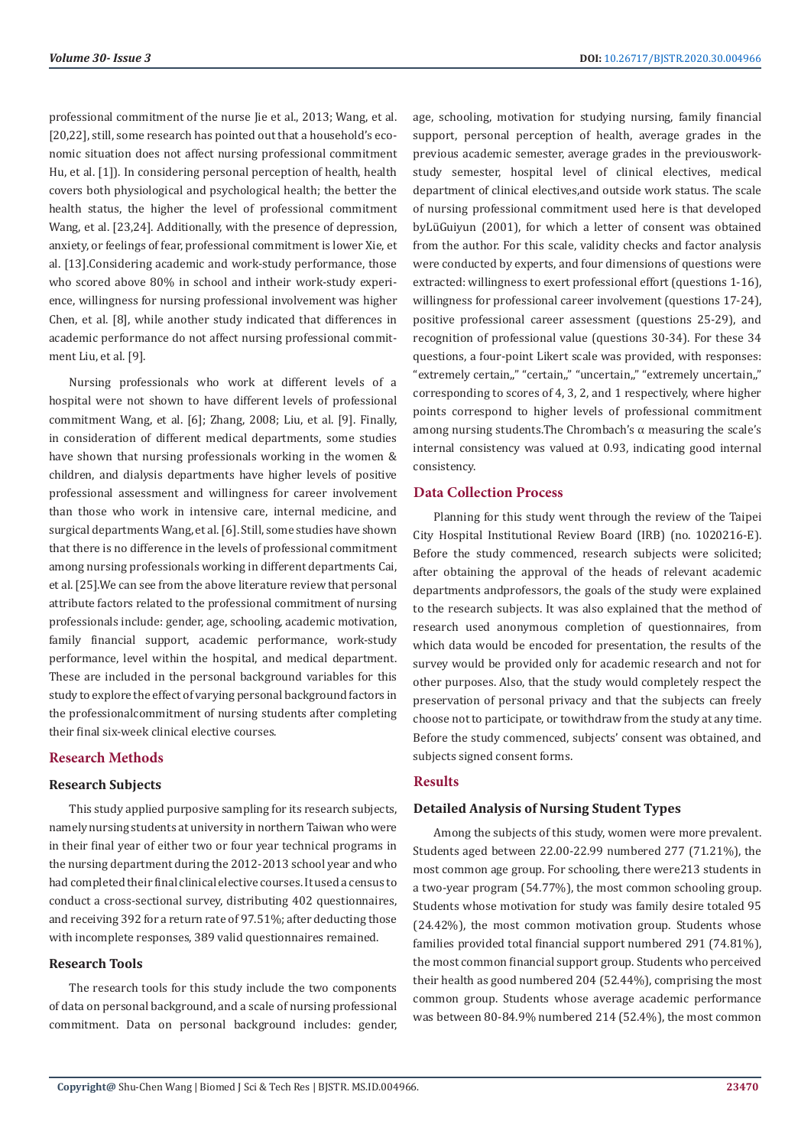professional commitment of the nurse Jie et al., 2013; Wang, et al. [20,22], still, some research has pointed out that a household's economic situation does not affect nursing professional commitment Hu, et al. [1]). In considering personal perception of health, health covers both physiological and psychological health; the better the health status, the higher the level of professional commitment Wang, et al. [23,24]. Additionally, with the presence of depression, anxiety, or feelings of fear, professional commitment is lower Xie, et al. [13].Considering academic and work-study performance, those who scored above 80% in school and intheir work-study experience, willingness for nursing professional involvement was higher Chen, et al. [8], while another study indicated that differences in academic performance do not affect nursing professional commitment Liu, et al. [9].

Nursing professionals who work at different levels of a hospital were not shown to have different levels of professional commitment Wang, et al. [6]; Zhang, 2008; Liu, et al. [9]. Finally, in consideration of different medical departments, some studies have shown that nursing professionals working in the women & children, and dialysis departments have higher levels of positive professional assessment and willingness for career involvement than those who work in intensive care, internal medicine, and surgical departments Wang, et al. [6]. Still, some studies have shown that there is no difference in the levels of professional commitment among nursing professionals working in different departments Cai, et al. [25].We can see from the above literature review that personal attribute factors related to the professional commitment of nursing professionals include: gender, age, schooling, academic motivation, family financial support, academic performance, work-study performance, level within the hospital, and medical department. These are included in the personal background variables for this study to explore the effect of varying personal background factors in the professionalcommitment of nursing students after completing their final six-week clinical elective courses.

#### **Research Methods**

#### **Research Subjects**

This study applied purposive sampling for its research subjects, namely nursing students at university in northern Taiwan who were in their final year of either two or four year technical programs in the nursing department during the 2012-2013 school year and who had completed their final clinical elective courses. It used a census to conduct a cross-sectional survey, distributing 402 questionnaires, and receiving 392 for a return rate of 97.51%; after deducting those with incomplete responses, 389 valid questionnaires remained.

# **Research Tools**

The research tools for this study include the two components of data on personal background, and a scale of nursing professional commitment. Data on personal background includes: gender, age, schooling, motivation for studying nursing, family financial support, personal perception of health, average grades in the previous academic semester, average grades in the previousworkstudy semester, hospital level of clinical electives, medical department of clinical electives,and outside work status. The scale of nursing professional commitment used here is that developed byLüGuiyun (2001), for which a letter of consent was obtained from the author. For this scale, validity checks and factor analysis were conducted by experts, and four dimensions of questions were extracted: willingness to exert professional effort (questions 1-16), willingness for professional career involvement (questions 17-24), positive professional career assessment (questions 25-29), and recognition of professional value (questions 30-34). For these 34 questions, a four-point Likert scale was provided, with responses: "extremely certain,," "certain,," "uncertain,," "extremely uncertain,," corresponding to scores of 4, 3, 2, and 1 respectively, where higher points correspond to higher levels of professional commitment among nursing students. The Chrombach's  $\alpha$  measuring the scale's internal consistency was valued at 0.93, indicating good internal consistency.

#### **Data Collection Process**

Planning for this study went through the review of the Taipei City Hospital Institutional Review Board (IRB) (no. 1020216-E). Before the study commenced, research subjects were solicited; after obtaining the approval of the heads of relevant academic departments andprofessors, the goals of the study were explained to the research subjects. It was also explained that the method of research used anonymous completion of questionnaires, from which data would be encoded for presentation, the results of the survey would be provided only for academic research and not for other purposes. Also, that the study would completely respect the preservation of personal privacy and that the subjects can freely choose not to participate, or towithdraw from the study at any time. Before the study commenced, subjects' consent was obtained, and subjects signed consent forms.

# **Results**

#### **Detailed Analysis of Nursing Student Types**

Among the subjects of this study, women were more prevalent. Students aged between 22.00-22.99 numbered 277 (71.21%), the most common age group. For schooling, there were213 students in a two-year program (54.77%), the most common schooling group. Students whose motivation for study was family desire totaled 95 (24.42%), the most common motivation group. Students whose families provided total financial support numbered 291 (74.81%), the most common financial support group. Students who perceived their health as good numbered 204 (52.44%), comprising the most common group. Students whose average academic performance was between 80-84.9% numbered 214 (52.4%), the most common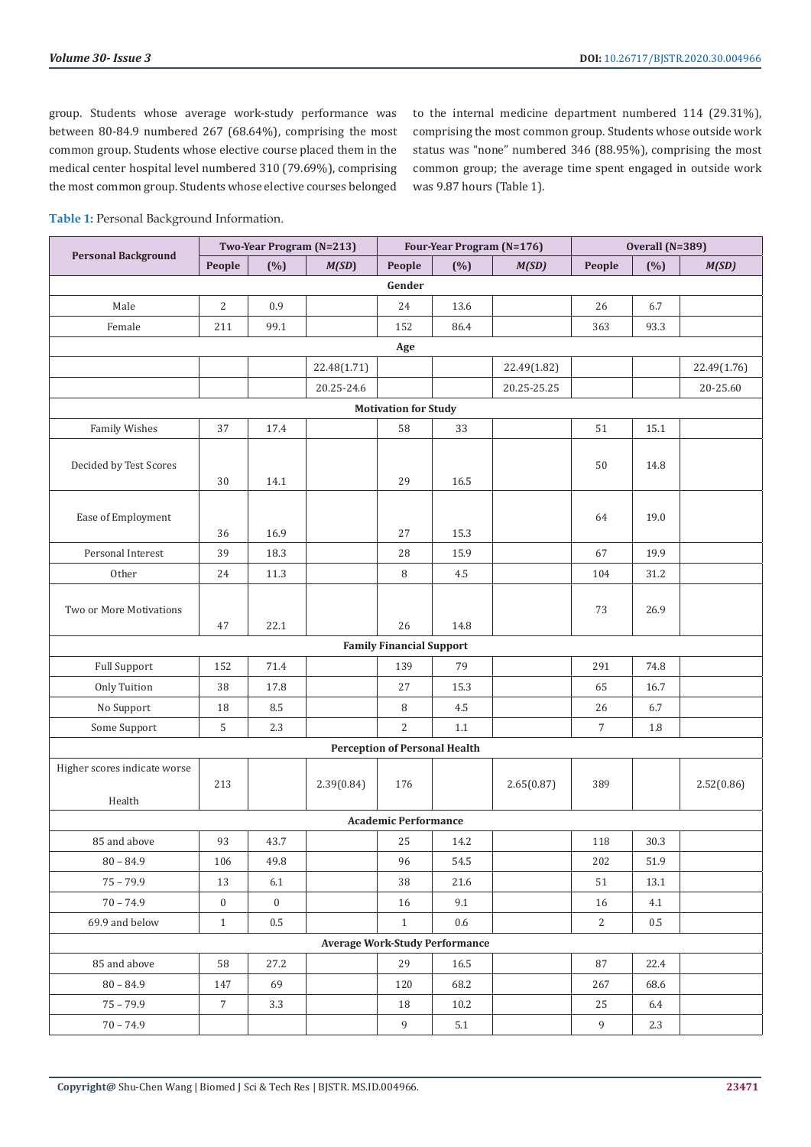group. Students whose average work-study performance was between 80-84.9 numbered 267 (68.64%), comprising the most common group. Students whose elective course placed them in the medical center hospital level numbered 310 (79.69%), comprising the most common group. Students whose elective courses belonged

to the internal medicine department numbered 114 (29.31%), comprising the most common group. Students whose outside work status was "none" numbered 346 (88.95%), comprising the most common group; the average time spent engaged in outside work was 9.87 hours (Table 1).

**Table 1:** Personal Background Information.

|                              | Two-Year Program (N=213) |                  |             |                                      | Four-Year Program (N=176)             |             | Overall (N=389) |         |             |  |  |
|------------------------------|--------------------------|------------------|-------------|--------------------------------------|---------------------------------------|-------------|-----------------|---------|-------------|--|--|
| <b>Personal Background</b>   | People                   | $(\%)$           | M(SD)       | People                               | (%)                                   | M(SD)       | People          | $(\%)$  | M(SD)       |  |  |
|                              | Gender                   |                  |             |                                      |                                       |             |                 |         |             |  |  |
| Male                         | $\sqrt{2}$               | 0.9              |             | 24                                   | 13.6                                  |             | 26              | 6.7     |             |  |  |
| Female                       | 211                      | 99.1             |             | 152                                  | 86.4                                  |             | 363             | 93.3    |             |  |  |
| Age                          |                          |                  |             |                                      |                                       |             |                 |         |             |  |  |
|                              |                          |                  | 22.48(1.71) |                                      |                                       | 22.49(1.82) |                 |         | 22.49(1.76) |  |  |
|                              |                          |                  | 20.25-24.6  |                                      |                                       | 20.25-25.25 |                 |         | 20-25.60    |  |  |
| <b>Motivation for Study</b>  |                          |                  |             |                                      |                                       |             |                 |         |             |  |  |
| Family Wishes                | 37                       | 17.4             |             | 58                                   | 33                                    |             | 51              | 15.1    |             |  |  |
|                              |                          |                  |             |                                      |                                       |             |                 |         |             |  |  |
| Decided by Test Scores       |                          |                  |             |                                      |                                       |             | 50              | 14.8    |             |  |  |
|                              | 30                       | 14.1             |             | 29                                   | 16.5                                  |             |                 |         |             |  |  |
| Ease of Employment           |                          |                  |             |                                      |                                       |             | 64              | 19.0    |             |  |  |
|                              | 36                       | 16.9             |             | 27                                   | 15.3                                  |             |                 |         |             |  |  |
| Personal Interest            | 39                       | 18.3             |             | 28                                   | 15.9                                  |             | 67              | 19.9    |             |  |  |
| Other                        | 24                       | 11.3             |             | 8                                    | 4.5                                   |             | 104             | 31.2    |             |  |  |
|                              |                          |                  |             |                                      |                                       |             |                 |         |             |  |  |
| Two or More Motivations      |                          |                  |             |                                      |                                       |             | 73              | 26.9    |             |  |  |
|                              | 47                       | 22.1             |             | 26                                   | 14.8                                  |             |                 |         |             |  |  |
|                              |                          |                  |             | <b>Family Financial Support</b>      |                                       |             |                 |         |             |  |  |
| <b>Full Support</b>          | 152                      | 71.4             |             | 139                                  | 79                                    |             | 291             | 74.8    |             |  |  |
| Only Tuition                 | 38                       | 17.8             |             | 27                                   | 15.3                                  |             | 65              | 16.7    |             |  |  |
| No Support                   | 18                       | $\ \, 8.5$       |             | 8                                    | $4.5\,$                               |             | 26              | 6.7     |             |  |  |
| Some Support                 | 5                        | 2.3              |             | $\overline{2}$                       | $1.1\,$                               |             | $\overline{7}$  | 1.8     |             |  |  |
|                              |                          |                  |             | <b>Perception of Personal Health</b> |                                       |             |                 |         |             |  |  |
| Higher scores indicate worse |                          |                  |             |                                      |                                       |             |                 |         |             |  |  |
|                              | 213                      |                  | 2.39(0.84)  | 176                                  |                                       | 2.65(0.87)  | 389             |         | 2.52(0.86)  |  |  |
| Health                       |                          |                  |             | <b>Academic Performance</b>          |                                       |             |                 |         |             |  |  |
| 85 and above                 | 93                       | 43.7             |             | 25                                   | 14.2                                  |             | 118             | 30.3    |             |  |  |
| $80 - 84.9$                  | 106                      | 49.8             |             | 96                                   | 54.5                                  |             | 202             | 51.9    |             |  |  |
| $75 - 79.9$                  |                          |                  |             |                                      |                                       |             |                 |         |             |  |  |
|                              | 13                       | 6.1              |             | $38\,$                               | $21.6\,$                              |             | 51              | 13.1    |             |  |  |
| $70 - 74.9$                  | $\boldsymbol{0}$         | $\boldsymbol{0}$ |             | 16                                   | 9.1                                   |             | 16              | 4.1     |             |  |  |
| 69.9 and below               | $\,1\,$                  | $0.5\,$          |             | $\mathbf{1}$                         | 0.6                                   |             | $\overline{2}$  | $0.5\,$ |             |  |  |
|                              |                          |                  |             |                                      | <b>Average Work-Study Performance</b> |             |                 |         |             |  |  |
| 85 and above                 | 58                       | 27.2             |             | 29                                   | 16.5                                  |             | 87              | 22.4    |             |  |  |
| $80 - 84.9$                  | 147                      | 69               |             | 120                                  | 68.2                                  |             | 267             | 68.6    |             |  |  |
| $75 - 79.9$                  | $\overline{7}$           | 3.3              |             | 18                                   | 10.2                                  |             | 25              | 6.4     |             |  |  |
| $70 - 74.9$                  |                          |                  |             | $\overline{9}$                       | 5.1                                   |             | 9               | 2.3     |             |  |  |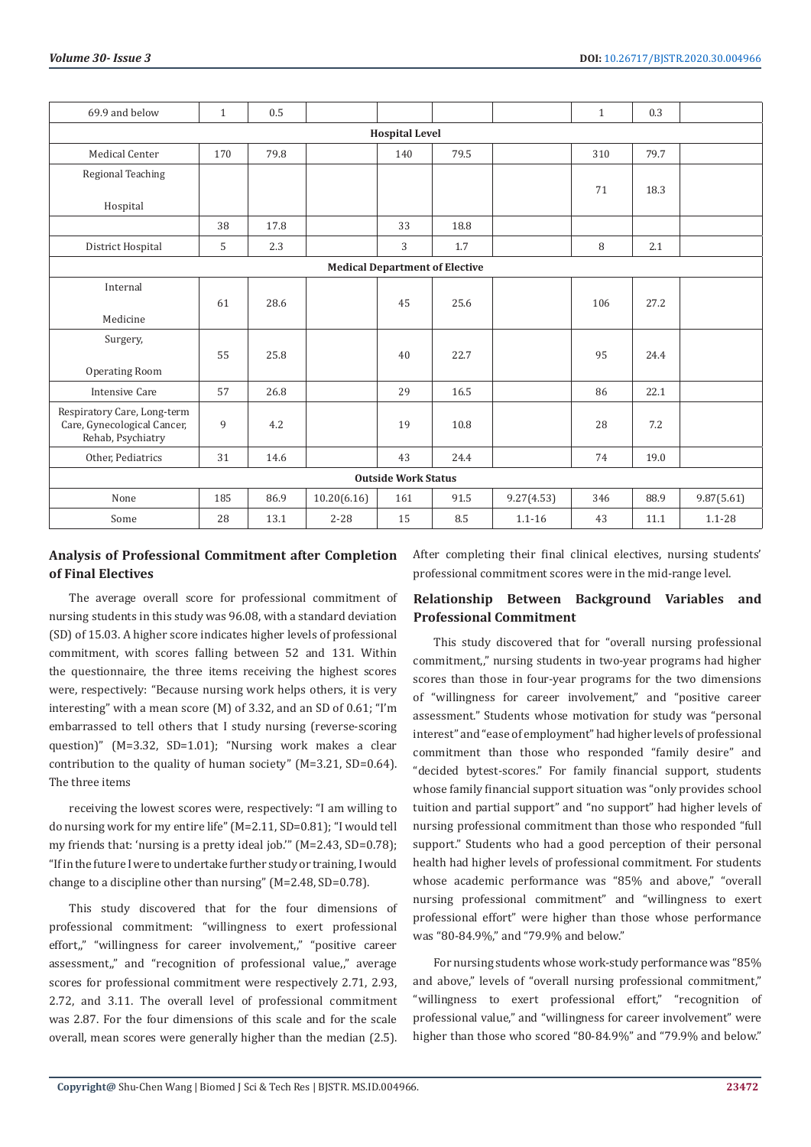| 69.9 and below                                                                  | $\mathbf{1}$ | 0.5  |             |     |      |            | $\mathbf{1}$ | 0.3  |            |  |  |
|---------------------------------------------------------------------------------|--------------|------|-------------|-----|------|------------|--------------|------|------------|--|--|
| <b>Hospital Level</b>                                                           |              |      |             |     |      |            |              |      |            |  |  |
| <b>Medical Center</b>                                                           | 170          | 79.8 |             | 140 | 79.5 |            | 310          | 79.7 |            |  |  |
| Regional Teaching                                                               |              |      |             |     |      |            |              |      |            |  |  |
| Hospital                                                                        |              |      |             |     |      |            | 71           | 18.3 |            |  |  |
|                                                                                 | 38           | 17.8 |             | 33  | 18.8 |            |              |      |            |  |  |
| District Hospital                                                               | 5            | 2.3  |             | 3   | 1.7  |            | 8            | 2.1  |            |  |  |
| <b>Medical Department of Elective</b>                                           |              |      |             |     |      |            |              |      |            |  |  |
| Internal<br>Medicine                                                            | 61           | 28.6 |             | 45  | 25.6 |            | 106          | 27.2 |            |  |  |
| Surgery,<br>Operating Room                                                      | 55           | 25.8 |             | 40  | 22.7 |            | 95           | 24.4 |            |  |  |
| <b>Intensive Care</b>                                                           | 57           | 26.8 |             | 29  | 16.5 |            | 86           | 22.1 |            |  |  |
| Respiratory Care, Long-term<br>Care, Gynecological Cancer,<br>Rehab, Psychiatry | 9            | 4.2  |             | 19  | 10.8 |            | 28           | 7.2  |            |  |  |
| Other, Pediatrics                                                               | 31           | 14.6 |             | 43  | 24.4 |            | 74           | 19.0 |            |  |  |
| <b>Outside Work Status</b>                                                      |              |      |             |     |      |            |              |      |            |  |  |
| None                                                                            | 185          | 86.9 | 10.20(6.16) | 161 | 91.5 | 9.27(4.53) | 346          | 88.9 | 9.87(5.61) |  |  |
| Some                                                                            | 28           | 13.1 | $2 - 28$    | 15  | 8.5  | $1.1 - 16$ | 43           | 11.1 | $1.1 - 28$ |  |  |

# **Analysis of Professional Commitment after Completion of Final Electives**

The average overall score for professional commitment of nursing students in this study was 96.08, with a standard deviation (SD) of 15.03. A higher score indicates higher levels of professional commitment, with scores falling between 52 and 131. Within the questionnaire, the three items receiving the highest scores were, respectively: "Because nursing work helps others, it is very interesting" with a mean score (M) of 3.32, and an SD of 0.61; "I'm embarrassed to tell others that I study nursing (reverse-scoring question)" (M=3.32, SD=1.01); "Nursing work makes a clear contribution to the quality of human society" (M=3.21, SD=0.64). The three items

receiving the lowest scores were, respectively: "I am willing to do nursing work for my entire life" (M=2.11, SD=0.81); "I would tell my friends that: 'nursing is a pretty ideal job.'" (M=2.43, SD=0.78); "If in the future I were to undertake further study or training, I would change to a discipline other than nursing" (M=2.48, SD=0.78).

This study discovered that for the four dimensions of professional commitment: "willingness to exert professional effort," "willingness for career involvement," "positive career assessment," and "recognition of professional value," average scores for professional commitment were respectively 2.71, 2.93, 2.72, and 3.11. The overall level of professional commitment was 2.87. For the four dimensions of this scale and for the scale overall, mean scores were generally higher than the median (2.5).

After completing their final clinical electives, nursing students' professional commitment scores were in the mid-range level.

# **Relationship Between Background Variables and Professional Commitment**

This study discovered that for "overall nursing professional commitment," nursing students in two-year programs had higher scores than those in four-year programs for the two dimensions of "willingness for career involvement," and "positive career assessment." Students whose motivation for study was "personal interest" and "ease of employment" had higher levels of professional commitment than those who responded "family desire" and "decided bytest-scores." For family financial support, students whose family financial support situation was "only provides school tuition and partial support" and "no support" had higher levels of nursing professional commitment than those who responded "full support." Students who had a good perception of their personal health had higher levels of professional commitment. For students whose academic performance was "85% and above," "overall nursing professional commitment" and "willingness to exert professional effort" were higher than those whose performance was "80-84.9%," and "79.9% and below."

For nursing students whose work-study performance was "85% and above," levels of "overall nursing professional commitment," "willingness to exert professional effort," "recognition of professional value," and "willingness for career involvement" were higher than those who scored "80-84.9%" and "79.9% and below."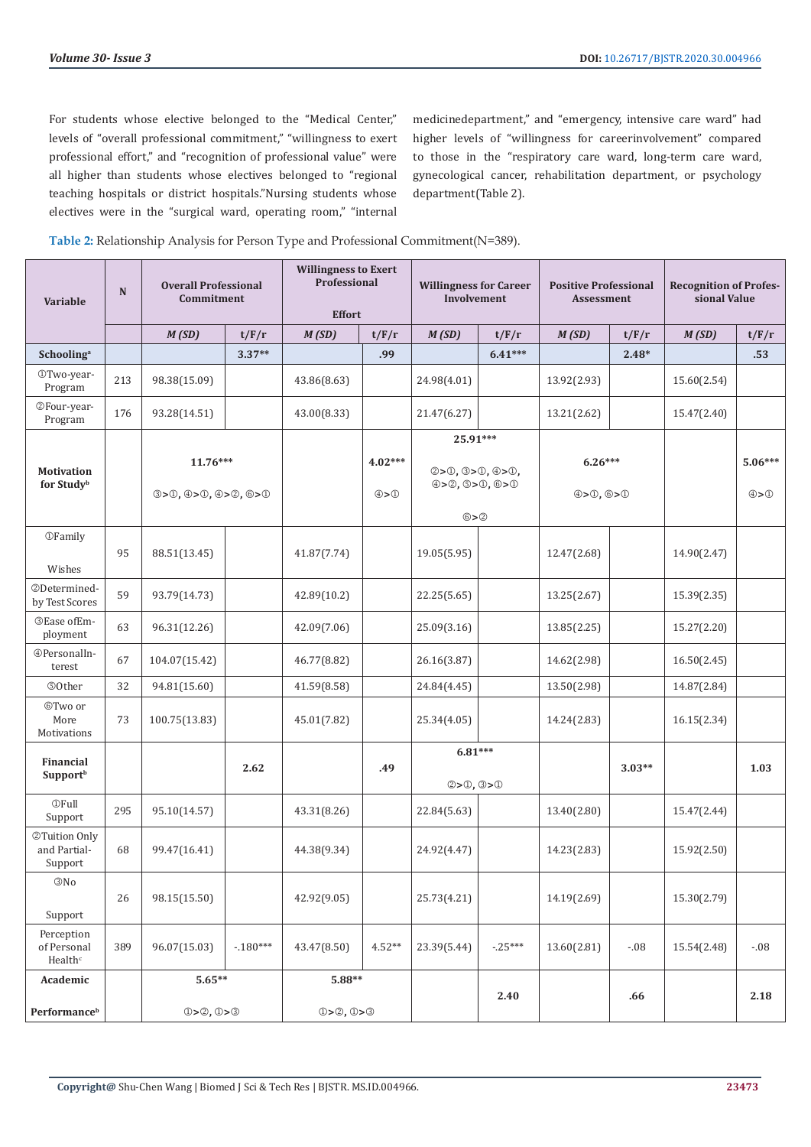For students whose elective belonged to the "Medical Center," levels of "overall professional commitment," "willingness to exert professional effort," and "recognition of professional value" were all higher than students whose electives belonged to "regional teaching hospitals or district hospitals."Nursing students whose electives were in the "surgical ward, operating room," "internal medicinedepartment," and "emergency, intensive care ward" had higher levels of "willingness for careerinvolvement" compared to those in the "respiratory care ward, long-term care ward, gynecological cancer, rehabilitation department, or psychology department(Table 2).

|  | Table 2: Relationship Analysis for Person Type and Professional Commitment(N=389). |
|--|------------------------------------------------------------------------------------|
|  |                                                                                    |

| Variable                                         | N   | <b>Overall Professional</b><br>Commitment |           | <b>Willingness to Exert</b><br>Professional<br><b>Effort</b> |                             | <b>Willingness for Career</b><br>Involvement        |           | <b>Positive Professional</b><br>Assessment |          | <b>Recognition of Profes-</b><br>sional Value |                                |  |      |
|--------------------------------------------------|-----|-------------------------------------------|-----------|--------------------------------------------------------------|-----------------------------|-----------------------------------------------------|-----------|--------------------------------------------|----------|-----------------------------------------------|--------------------------------|--|------|
|                                                  |     | M(SD)                                     | t/F/r     | M(SD)                                                        | t/F/r                       | M(SD)                                               | t/F/r     | M(SD)                                      | t/F/r    | M(SD)                                         | t/F/r                          |  |      |
| Schooling <sup>a</sup>                           |     |                                           | $3.37**$  |                                                              | .99                         |                                                     | $6.41***$ |                                            | $2.48*$  |                                               | .53                            |  |      |
| OTwo-year-<br>Program                            | 213 | 98.38(15.09)                              |           | 43.86(8.63)                                                  |                             | 24.98(4.01)                                         |           | 13.92(2.93)                                |          | 15.60(2.54)                                   |                                |  |      |
| @Four-year-<br>Program                           | 176 | 93.28(14.51)                              |           | 43.00(8.33)                                                  |                             | 21.47(6.27)                                         |           | 13.21(2.62)                                |          | 15.47(2.40)                                   |                                |  |      |
| <b>Motivation</b><br>for Studyb                  |     | $11.76***$<br>(3>0, 4>0, 4>0, 6>0)        |           |                                                              | $4.02***$<br>$\circledcirc$ | 25.91***<br>2>0, 3>0, 4>0,<br>(4) > 0, 0 > 0, 0 > 0 |           | $6.26***$<br>(4) > 0, 6 > 0                |          |                                               | $5.06***$<br>$\textcircled{4}$ |  |      |
| <b>OFamily</b><br>Wishes                         | 95  | 88.51(13.45)                              |           | 41.87(7.74)                                                  |                             | $@{>}@$<br>19.05(5.95)                              |           | 12.47(2.68)                                |          | 14.90(2.47)                                   |                                |  |      |
| ©Determined-<br>by Test Scores                   | 59  | 93.79(14.73)                              |           | 42.89(10.2)                                                  |                             | 22.25(5.65)                                         |           | 13.25(2.67)                                |          | 15.39(2.35)                                   |                                |  |      |
| <b>3Ease ofEm-</b><br>ployment                   | 63  | 96.31(12.26)                              |           | 42.09(7.06)                                                  |                             | 25.09(3.16)                                         |           | 13.85(2.25)                                |          | 15.27(2.20)                                   |                                |  |      |
| <b>@PersonalIn-</b><br>terest                    | 67  | 104.07(15.42)                             |           | 46.77(8.82)                                                  |                             | 26.16(3.87)                                         |           | 14.62(2.98)                                |          | 16.50(2.45)                                   |                                |  |      |
| <b>©Other</b>                                    | 32  | 94.81(15.60)                              |           | 41.59(8.58)                                                  |                             | 24.84(4.45)                                         |           | 13.50(2.98)                                |          | 14.87(2.84)                                   |                                |  |      |
| ©Two or<br>More<br>Motivations                   | 73  | 100.75(13.83)                             |           | 45.01(7.82)                                                  |                             | 25.34(4.05)                                         |           | 14.24(2.83)                                |          | 16.15(2.34)                                   |                                |  |      |
| <b>Financial</b><br><b>Support</b> <sup>b</sup>  |     |                                           | 2.62      |                                                              | .49                         |                                                     | $6.81***$ |                                            | 2>0, 0>0 |                                               | $3.03**$                       |  | 1.03 |
| <b>OFull</b><br>Support                          | 295 | 95.10(14.57)                              |           | 43.31(8.26)                                                  |                             | 22.84(5.63)                                         |           | 13.40(2.80)                                |          | 15.47(2.44)                                   |                                |  |      |
| @Tuition Only<br>and Partial-<br>Support         | 68  | 99.47(16.41)                              |           | 44.38(9.34)                                                  |                             | 24.92(4.47)                                         |           | 14.23(2.83)                                |          | 15.92(2.50)                                   |                                |  |      |
| <b>3No</b><br>Support                            | 26  | 98.15(15.50)                              |           | 42.92(9.05)                                                  |                             | 25.73(4.21)                                         |           | 14.19(2.69)                                |          | 15.30(2.79)                                   |                                |  |      |
| Perception<br>of Personal<br>Health <sup>c</sup> | 389 | 96.07(15.03)                              | $-180***$ | 43.47(8.50)                                                  | $4.52**$                    | 23.39(5.44)                                         | $-.25***$ | 13.60(2.81)                                | $-0.08$  | 15.54(2.48)                                   | $-0.08$                        |  |      |
| Academic                                         |     | $5.65**$                                  |           | $5.88**$                                                     |                             |                                                     | 2.40      |                                            | .66      |                                               | 2.18                           |  |      |
| Performance <sup>b</sup>                         |     | 0 > 2, 0 > 3                              |           | 0 > 2, 0 > 3                                                 |                             |                                                     |           |                                            |          |                                               |                                |  |      |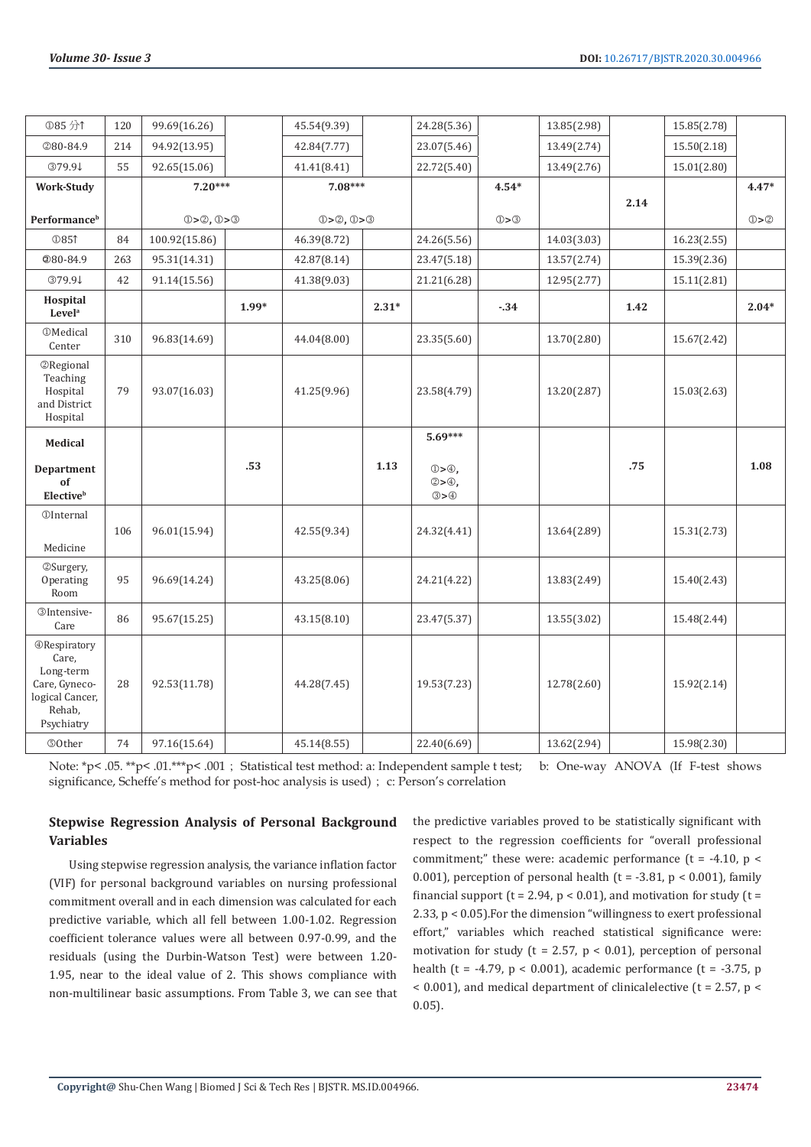| <b>①85分1</b>                                                                                          | 120 | 99.69(16.26)  |         | 45.54(9.39)  |         | 24.28(5.36)                                               |         | 13.85(2.98) |      | 15.85(2.78) |         |
|-------------------------------------------------------------------------------------------------------|-----|---------------|---------|--------------|---------|-----------------------------------------------------------|---------|-------------|------|-------------|---------|
| 280-84.9                                                                                              | 214 | 94.92(13.95)  |         | 42.84(7.77)  |         | 23.07(5.46)                                               |         | 13.49(2.74) |      | 15.50(2.18) |         |
| 379.9↓                                                                                                | 55  | 92.65(15.06)  |         | 41.41(8.41)  |         | 22.72(5.40)                                               |         | 13.49(2.76) |      | 15.01(2.80) |         |
| <b>Work-Study</b>                                                                                     |     | $7.20***$     |         | $7.08***$    |         |                                                           | $4.54*$ |             |      |             | $4.47*$ |
| <b>Performance</b> <sup>b</sup>                                                                       |     | 0 > 2, 0 > 3  |         | 0 > 2, 0 > 3 |         |                                                           | ①>③     |             | 2.14 |             | ①>②     |
| <b>12851</b>                                                                                          | 84  | 100.92(15.86) |         | 46.39(8.72)  |         | 24.26(5.56)                                               |         | 14.03(3.03) |      | 16.23(2.55) |         |
| @80-84.9                                                                                              | 263 | 95.31(14.31)  |         | 42.87(8.14)  |         | 23.47(5.18)                                               |         | 13.57(2.74) |      | 15.39(2.36) |         |
| 379.9↓                                                                                                | 42  | 91.14(15.56)  |         | 41.38(9.03)  |         | 21.21(6.28)                                               |         | 12.95(2.77) |      | 15.11(2.81) |         |
| Hospital<br>Level <sup>a</sup>                                                                        |     |               | $1.99*$ |              | $2.31*$ |                                                           | $-34$   |             | 1.42 |             | $2.04*$ |
| <b>OMedical</b><br>Center                                                                             | 310 | 96.83(14.69)  |         | 44.04(8.00)  |         | 23.35(5.60)                                               |         | 13.70(2.80) |      | 15.67(2.42) |         |
| <b>2</b> Regional<br>Teaching<br>Hospital<br>and District<br>Hospital                                 | 79  | 93.07(16.03)  |         | 41.25(9.96)  |         | 23.58(4.79)                                               |         | 13.20(2.87) |      | 15.03(2.63) |         |
| <b>Medical</b>                                                                                        |     |               |         |              |         | $5.69***$                                                 |         |             |      |             |         |
| Department<br>of<br><b>Elective</b> <sup>b</sup>                                                      |     |               | .53     |              | 1.13    | $\mathbb{D} > \oplus$ ,<br>$@>\oplus$ ,<br>$\circledcirc$ |         |             | .75  |             | 1.08    |
| <b><i><u>OInternal</u></i></b><br>Medicine                                                            | 106 | 96.01(15.94)  |         | 42.55(9.34)  |         | 24.32(4.41)                                               |         | 13.64(2.89) |      | 15.31(2.73) |         |
| ©Surgery,<br>Operating<br>Room                                                                        | 95  | 96.69(14.24)  |         | 43.25(8.06)  |         | 24.21(4.22)                                               |         | 13.83(2.49) |      | 15.40(2.43) |         |
| <b><i><u></u></i></b> OIntensive-<br>Care                                                             | 86  | 95.67(15.25)  |         | 43.15(8.10)  |         | 23.47(5.37)                                               |         | 13.55(3.02) |      | 15.48(2.44) |         |
| <b>@Respiratory</b><br>Care,<br>Long-term<br>Care, Gyneco-<br>logical Cancer,<br>Rehab,<br>Psychiatry | 28  | 92.53(11.78)  |         | 44.28(7.45)  |         | 19.53(7.23)                                               |         | 12.78(2.60) |      | 15.92(2.14) |         |
| <b>©Other</b>                                                                                         | 74  | 97.16(15.64)  |         | 45.14(8.55)  |         | 22.40(6.69)                                               |         | 13.62(2.94) |      | 15.98(2.30) |         |

Note: \*p< .05. \*\*p< .01.\*\*\*p< .001; Statistical test method: a: Independent sample t test; b: One-way ANOVA (If F-test shows significance, Scheffe's method for post-hoc analysis is used); c: Person's correlation

# **Stepwise Regression Analysis of Personal Background Variables**

Using stepwise regression analysis, the variance inflation factor (VIF) for personal background variables on nursing professional commitment overall and in each dimension was calculated for each predictive variable, which all fell between 1.00-1.02. Regression coefficient tolerance values were all between 0.97-0.99, and the residuals (using the Durbin-Watson Test) were between 1.20- 1.95, near to the ideal value of 2. This shows compliance with non-multilinear basic assumptions. From Table 3, we can see that the predictive variables proved to be statistically significant with respect to the regression coefficients for "overall professional commitment;" these were: academic performance  $(t = -4.10, p <$ 0.001), perception of personal health ( $t = -3.81$ ,  $p < 0.001$ ), family financial support ( $t = 2.94$ ,  $p < 0.01$ ), and motivation for study ( $t =$ 2.33, p < 0.05).For the dimension "willingness to exert professional effort," variables which reached statistical significance were: motivation for study ( $t = 2.57$ ,  $p < 0.01$ ), perception of personal health (t = -4.79,  $p < 0.001$ ), academic performance (t = -3.75, p  $<$  0.001), and medical department of clinicalelective (t = 2.57, p  $<$ 0.05).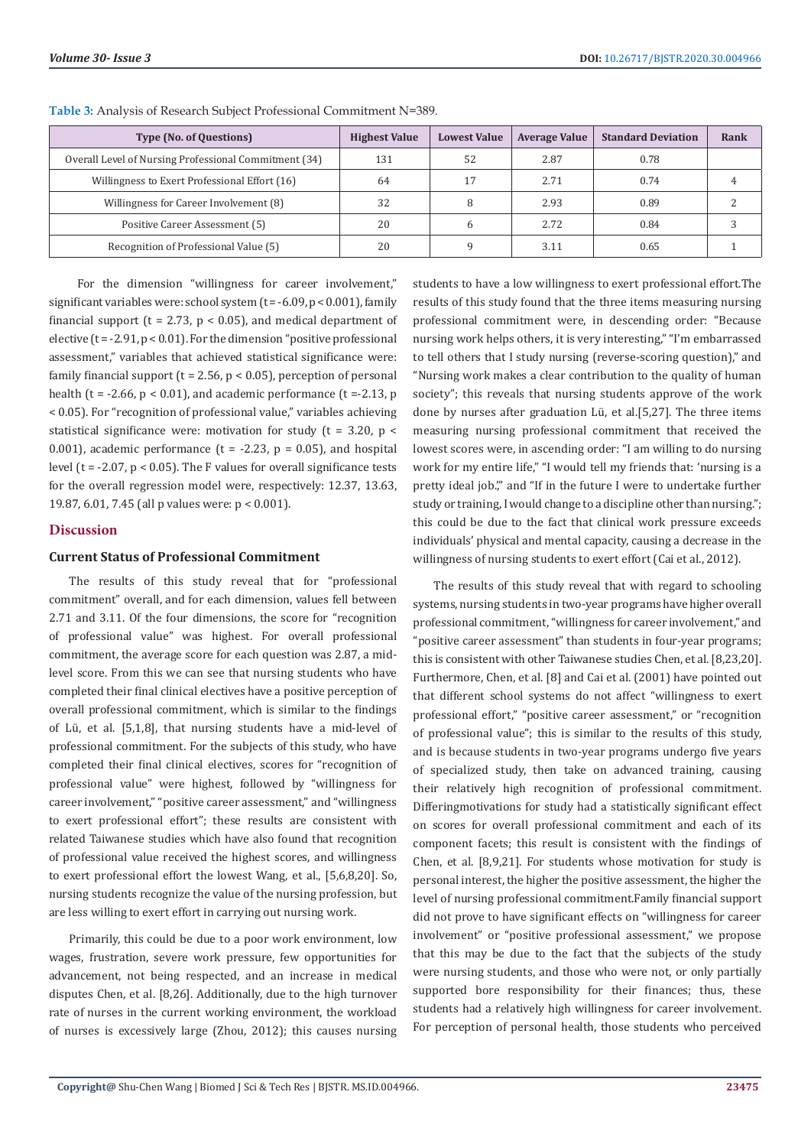| <b>Type (No. of Questions)</b>                        | <b>Highest Value</b> | <b>Lowest Value</b> | <b>Average Value</b> | <b>Standard Deviation</b> | Rank |
|-------------------------------------------------------|----------------------|---------------------|----------------------|---------------------------|------|
| Overall Level of Nursing Professional Commitment (34) | 131                  | 52                  | 2.87                 | 0.78                      |      |
| Willingness to Exert Professional Effort (16)         | 64                   | 17                  | 2.71                 | 0.74                      |      |
| Willingness for Career Involvement (8)                | 32                   |                     | 2.93                 | 0.89                      |      |
| Positive Career Assessment (5)                        | 20                   |                     | 2.72                 | 0.84                      |      |
| Recognition of Professional Value (5)                 | 20                   |                     | 3.11                 | 0.65                      |      |

**Table 3:** Analysis of Research Subject Professional Commitment N=389.

 For the dimension "willingness for career involvement," significant variables were: school system  $(t = -6.09, p < 0.001)$ , family financial support ( $t = 2.73$ ,  $p < 0.05$ ), and medical department of elective ( $t = -2.91$ ,  $p < 0.01$ ). For the dimension "positive professional assessment," variables that achieved statistical significance were: family financial support ( $t = 2.56$ ,  $p < 0.05$ ), perception of personal health ( $t = -2.66$ ,  $p < 0.01$ ), and academic performance ( $t = -2.13$ , p < 0.05). For "recognition of professional value," variables achieving statistical significance were: motivation for study ( $t = 3.20$ ,  $p <$ 0.001), academic performance ( $t = -2.23$ ,  $p = 0.05$ ), and hospital level ( $t = -2.07$ ,  $p < 0.05$ ). The F values for overall significance tests for the overall regression model were, respectively: 12.37, 13.63, 19.87, 6.01, 7.45 (all p values were: p < 0.001).

#### **Discussion**

#### **Current Status of Professional Commitment**

The results of this study reveal that for "professional commitment" overall, and for each dimension, values fell between 2.71 and 3.11. Of the four dimensions, the score for "recognition of professional value" was highest. For overall professional commitment, the average score for each question was 2.87, a midlevel score. From this we can see that nursing students who have completed their final clinical electives have a positive perception of overall professional commitment, which is similar to the findings of Lü, et al. [5,1,8], that nursing students have a mid-level of professional commitment. For the subjects of this study, who have completed their final clinical electives, scores for "recognition of professional value" were highest, followed by "willingness for career involvement," "positive career assessment," and "willingness to exert professional effort"; these results are consistent with related Taiwanese studies which have also found that recognition of professional value received the highest scores, and willingness to exert professional effort the lowest Wang, et al., [5,6,8,20]. So, nursing students recognize the value of the nursing profession, but are less willing to exert effort in carrying out nursing work.

Primarily, this could be due to a poor work environment, low wages, frustration, severe work pressure, few opportunities for advancement, not being respected, and an increase in medical disputes Chen, et al. [8,26]. Additionally, due to the high turnover rate of nurses in the current working environment, the workload of nurses is excessively large (Zhou, 2012); this causes nursing students to have a low willingness to exert professional effort.The results of this study found that the three items measuring nursing professional commitment were, in descending order: "Because nursing work helps others, it is very interesting," "I'm embarrassed to tell others that I study nursing (reverse-scoring question)," and "Nursing work makes a clear contribution to the quality of human society"; this reveals that nursing students approve of the work done by nurses after graduation Lü, et al.[5,27]. The three items measuring nursing professional commitment that received the lowest scores were, in ascending order: "I am willing to do nursing work for my entire life," "I would tell my friends that: 'nursing is a pretty ideal job." and "If in the future I were to undertake further study or training, I would change to a discipline other than nursing."; this could be due to the fact that clinical work pressure exceeds individuals' physical and mental capacity, causing a decrease in the willingness of nursing students to exert effort (Cai et al., 2012).

The results of this study reveal that with regard to schooling systems, nursing students in two-year programs have higher overall professional commitment, "willingness for career involvement," and "positive career assessment" than students in four-year programs; this is consistent with other Taiwanese studies Chen, et al. [8,23,20]. Furthermore, Chen, et al. [8] and Cai et al. (2001) have pointed out that different school systems do not affect "willingness to exert professional effort," "positive career assessment," or "recognition of professional value"; this is similar to the results of this study, and is because students in two-year programs undergo five years of specialized study, then take on advanced training, causing their relatively high recognition of professional commitment. Differingmotivations for study had a statistically significant effect on scores for overall professional commitment and each of its component facets; this result is consistent with the findings of Chen, et al. [8,9,21]. For students whose motivation for study is personal interest, the higher the positive assessment, the higher the level of nursing professional commitment.Family financial support did not prove to have significant effects on "willingness for career involvement" or "positive professional assessment," we propose that this may be due to the fact that the subjects of the study were nursing students, and those who were not, or only partially supported bore responsibility for their finances; thus, these students had a relatively high willingness for career involvement. For perception of personal health, those students who perceived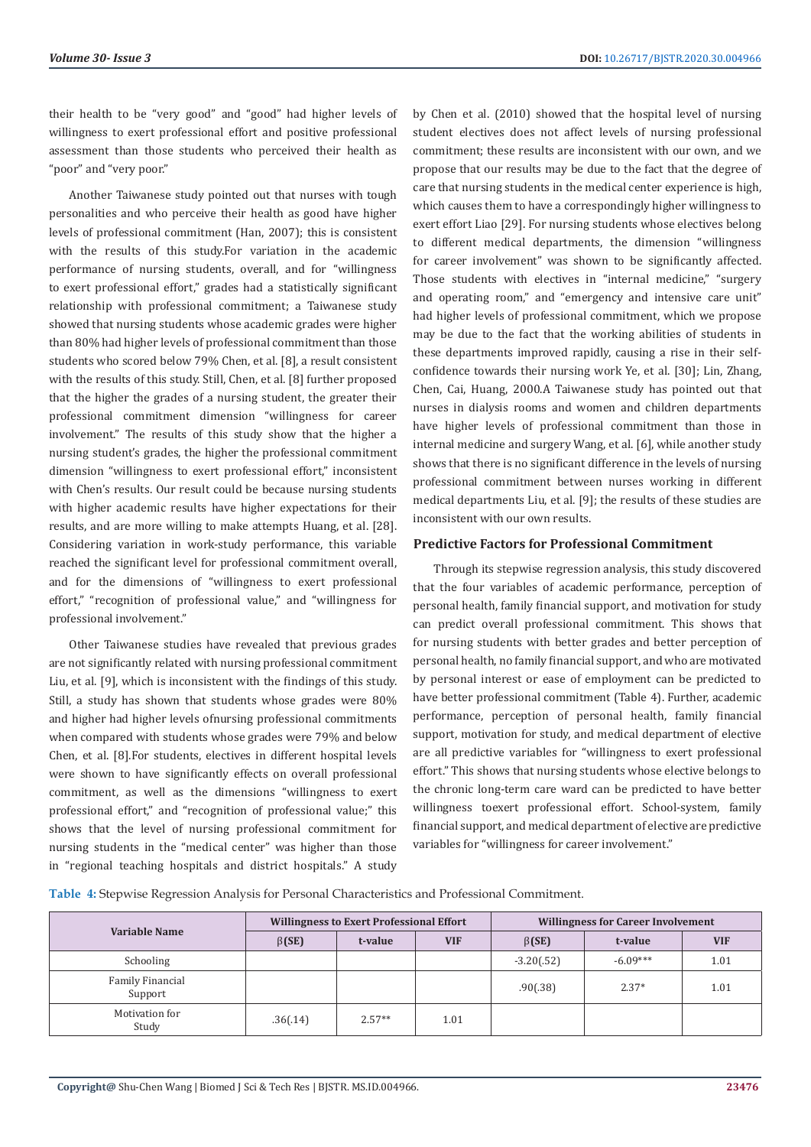their health to be "very good" and "good" had higher levels of willingness to exert professional effort and positive professional assessment than those students who perceived their health as "poor" and "very poor."

Another Taiwanese study pointed out that nurses with tough personalities and who perceive their health as good have higher levels of professional commitment (Han, 2007); this is consistent with the results of this study.For variation in the academic performance of nursing students, overall, and for "willingness to exert professional effort," grades had a statistically significant relationship with professional commitment; a Taiwanese study showed that nursing students whose academic grades were higher than 80% had higher levels of professional commitment than those students who scored below 79% Chen, et al. [8], a result consistent with the results of this study. Still, Chen, et al. [8] further proposed that the higher the grades of a nursing student, the greater their professional commitment dimension "willingness for career involvement." The results of this study show that the higher a nursing student's grades, the higher the professional commitment dimension "willingness to exert professional effort," inconsistent with Chen's results. Our result could be because nursing students with higher academic results have higher expectations for their results, and are more willing to make attempts Huang, et al. [28]. Considering variation in work-study performance, this variable reached the significant level for professional commitment overall, and for the dimensions of "willingness to exert professional effort," "recognition of professional value," and "willingness for professional involvement."

Other Taiwanese studies have revealed that previous grades are not significantly related with nursing professional commitment Liu, et al. [9], which is inconsistent with the findings of this study. Still, a study has shown that students whose grades were 80% and higher had higher levels ofnursing professional commitments when compared with students whose grades were 79% and below Chen, et al. [8].For students, electives in different hospital levels were shown to have significantly effects on overall professional commitment, as well as the dimensions "willingness to exert professional effort," and "recognition of professional value;" this shows that the level of nursing professional commitment for nursing students in the "medical center" was higher than those in "regional teaching hospitals and district hospitals." A study

by Chen et al. (2010) showed that the hospital level of nursing student electives does not affect levels of nursing professional commitment; these results are inconsistent with our own, and we propose that our results may be due to the fact that the degree of care that nursing students in the medical center experience is high, which causes them to have a correspondingly higher willingness to exert effort Liao [29]. For nursing students whose electives belong to different medical departments, the dimension "willingness for career involvement" was shown to be significantly affected. Those students with electives in "internal medicine," "surgery and operating room," and "emergency and intensive care unit" had higher levels of professional commitment, which we propose may be due to the fact that the working abilities of students in these departments improved rapidly, causing a rise in their selfconfidence towards their nursing work Ye, et al. [30]; Lin, Zhang, Chen, Cai, Huang, 2000.A Taiwanese study has pointed out that nurses in dialysis rooms and women and children departments have higher levels of professional commitment than those in internal medicine and surgery Wang, et al. [6], while another study shows that there is no significant difference in the levels of nursing professional commitment between nurses working in different medical departments Liu, et al. [9]; the results of these studies are inconsistent with our own results.

#### **Predictive Factors for Professional Commitment**

Through its stepwise regression analysis, this study discovered that the four variables of academic performance, perception of personal health, family financial support, and motivation for study can predict overall professional commitment. This shows that for nursing students with better grades and better perception of personal health, no family financial support, and who are motivated by personal interest or ease of employment can be predicted to have better professional commitment (Table 4). Further, academic performance, perception of personal health, family financial support, motivation for study, and medical department of elective are all predictive variables for "willingness to exert professional effort." This shows that nursing students whose elective belongs to the chronic long-term care ward can be predicted to have better willingness toexert professional effort. School-system, family financial support, and medical department of elective are predictive variables for "willingness for career involvement."

**Table 4:** Stepwise Regression Analysis for Personal Characteristics and Professional Commitment.

| Variable Name               |              | <b>Willingness to Exert Professional Effort</b> |            | <b>Willingness for Career Involvement</b> |            |            |  |
|-----------------------------|--------------|-------------------------------------------------|------------|-------------------------------------------|------------|------------|--|
|                             | $\beta$ (SE) | t-value                                         | <b>VIF</b> | $\beta$ (SE)                              | t-value    | <b>VIF</b> |  |
| Schooling                   |              |                                                 |            | $-3.20(.52)$                              | $-6.09***$ | 1.01       |  |
| Family Financial<br>Support |              |                                                 |            | .90(.38)                                  | $2.37*$    | 1.01       |  |
| Motivation for<br>Study     | .36(.14)     | $2.57**$                                        | 1.01       |                                           |            |            |  |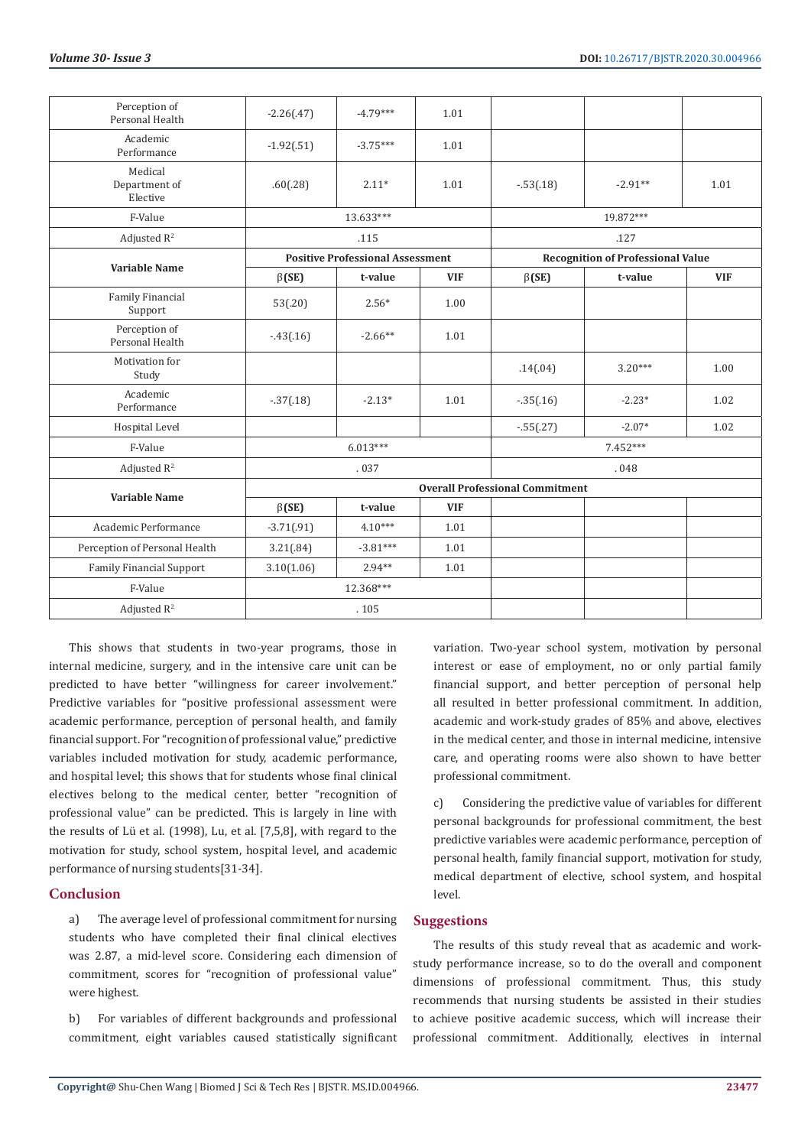| Perception of<br>Personal Health     | $-2.26(.47)$ | $-4.79***$                              | 1.01       |                                        |                                          |            |  |
|--------------------------------------|--------------|-----------------------------------------|------------|----------------------------------------|------------------------------------------|------------|--|
| Academic<br>Performance              | $-1.92(.51)$ | $-3.75***$                              | 1.01       |                                        |                                          |            |  |
| Medical<br>Department of<br>Elective | .60(.28)     | $2.11*$                                 | 1.01       | $-.53(.18)$                            | $-2.91**$                                | 1.01       |  |
| F-Value                              |              | 13.633***                               |            |                                        | 19.872***                                |            |  |
| Adjusted $R^2$                       |              | .115                                    |            |                                        | .127                                     |            |  |
| <b>Variable Name</b>                 |              | <b>Positive Professional Assessment</b> |            |                                        | <b>Recognition of Professional Value</b> |            |  |
|                                      | $\beta$ (SE) | t-value                                 | <b>VIF</b> | $\beta$ (SE)                           | t-value                                  | <b>VIF</b> |  |
| Family Financial<br>Support          | 53(.20)      | $2.56*$                                 | 1.00       |                                        |                                          |            |  |
| Perception of<br>Personal Health     | $-43(0.16)$  | $-2.66**$                               | 1.01       |                                        |                                          |            |  |
| Motivation for<br>Study              |              |                                         |            | .14(.04)                               | $3.20***$                                | 1.00       |  |
| Academic<br>Performance              | $-.37(.18)$  | $-2.13*$                                | 1.01       | $-35(.16)$                             | $-2.23*$                                 | 1.02       |  |
| Hospital Level                       |              |                                         |            | $-.55(.27)$                            | $-2.07*$                                 | 1.02       |  |
| F-Value                              |              | $6.013***$                              |            | 7.452***                               |                                          |            |  |
| Adjusted $R^2$                       |              | .037                                    |            | .048                                   |                                          |            |  |
| <b>Variable Name</b>                 |              |                                         |            | <b>Overall Professional Commitment</b> |                                          |            |  |
|                                      | $\beta$ (SE) | t-value                                 | <b>VIF</b> |                                        |                                          |            |  |
| Academic Performance                 | $-3.71(.91)$ | $4.10***$                               | 1.01       |                                        |                                          |            |  |
| Perception of Personal Health        | 3.21(.84)    | $-3.81***$                              | 1.01       |                                        |                                          |            |  |
| <b>Family Financial Support</b>      | 3.10(1.06)   | $2.94**$                                | 1.01       |                                        |                                          |            |  |
| F-Value                              |              | 12.368***                               |            |                                        |                                          |            |  |
| Adjusted $R^2$                       |              | .105                                    |            |                                        |                                          |            |  |

This shows that students in two-year programs, those in internal medicine, surgery, and in the intensive care unit can be predicted to have better "willingness for career involvement." Predictive variables for "positive professional assessment were academic performance, perception of personal health, and family financial support. For "recognition of professional value," predictive variables included motivation for study, academic performance, and hospital level; this shows that for students whose final clinical electives belong to the medical center, better "recognition of professional value" can be predicted. This is largely in line with the results of Lü et al. (1998), Lu, et al. [7,5,8], with regard to the motivation for study, school system, hospital level, and academic performance of nursing students[31-34].

#### **Conclusion**

a) The average level of professional commitment for nursing students who have completed their final clinical electives was 2.87, a mid-level score. Considering each dimension of commitment, scores for "recognition of professional value" were highest.

b) For variables of different backgrounds and professional commitment, eight variables caused statistically significant variation. Two-year school system, motivation by personal interest or ease of employment, no or only partial family financial support, and better perception of personal help all resulted in better professional commitment. In addition, academic and work-study grades of 85% and above, electives in the medical center, and those in internal medicine, intensive care, and operating rooms were also shown to have better professional commitment.

c) Considering the predictive value of variables for different personal backgrounds for professional commitment, the best predictive variables were academic performance, perception of personal health, family financial support, motivation for study, medical department of elective, school system, and hospital level.

#### **Suggestions**

The results of this study reveal that as academic and workstudy performance increase, so to do the overall and component dimensions of professional commitment. Thus, this study recommends that nursing students be assisted in their studies to achieve positive academic success, which will increase their professional commitment. Additionally, electives in internal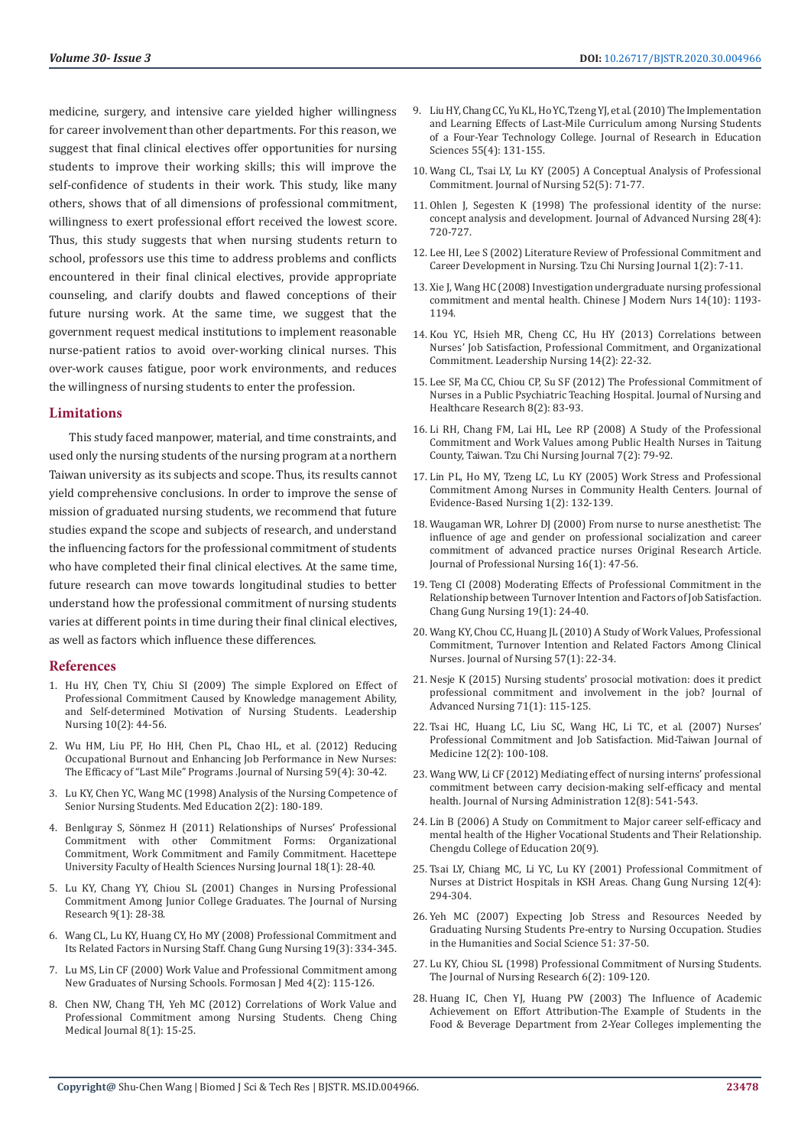medicine, surgery, and intensive care yielded higher willingness for career involvement than other departments. For this reason, we suggest that final clinical electives offer opportunities for nursing students to improve their working skills; this will improve the self-confidence of students in their work. This study, like many others, shows that of all dimensions of professional commitment, willingness to exert professional effort received the lowest score. Thus, this study suggests that when nursing students return to school, professors use this time to address problems and conflicts encountered in their final clinical electives, provide appropriate counseling, and clarify doubts and flawed conceptions of their future nursing work. At the same time, we suggest that the government request medical institutions to implement reasonable nurse-patient ratios to avoid over-working clinical nurses. This over-work causes fatigue, poor work environments, and reduces the willingness of nursing students to enter the profession.

#### **Limitations**

This study faced manpower, material, and time constraints, and used only the nursing students of the nursing program at a northern Taiwan university as its subjects and scope. Thus, its results cannot yield comprehensive conclusions. In order to improve the sense of mission of graduated nursing students, we recommend that future studies expand the scope and subjects of research, and understand the influencing factors for the professional commitment of students who have completed their final clinical electives. At the same time, future research can move towards longitudinal studies to better understand how the professional commitment of nursing students varies at different points in time during their final clinical electives, as well as factors which influence these differences.

#### **References**

- 1. Hu HY, Chen TY, Chiu SI (2009) The simple Explored on Effect of Professional Commitment Caused by Knowledge management Ability, and Self-determined Motivation of Nursing Students. Leadership Nursing 10(2): 44-56.
- 2. [Wu HM, Liu PF, Ho HH, Chen PL, Chao HL, et al. \(2012\) Reducing](https://pubmed.ncbi.nlm.nih.gov/22851392/)  [Occupational Burnout and Enhancing Job Performance in New Nurses:](https://pubmed.ncbi.nlm.nih.gov/22851392/)  [The Efficacy of "Last Mile" Programs .Journal of Nursing 59\(4\): 30-42.](https://pubmed.ncbi.nlm.nih.gov/22851392/)
- 3. [Lu KY, Chen YC, Wang MC \(1998\) Analysis of the Nursing Competence of](https://lib.ctcn.edu.tw/practical%20training/%E6%8A%80%E8%81%B7%E6%95%99%E8%82%B2%E6%A0%A1%E5%A4%96%E5%AF%A6%E7%BF%921020103/%E6%8A%80%E8%81%B7%E6%95%99%E8%82%B2%E6%A0%A1%E5%A4%96%E5%AF%A6%E7%BF%92%E6%96%87%E7%8D%BB/%E8%AD%B7%E7%90%86/Analysis%20of%20the%20Nursing%20Competence%20of%20Senior%20Nursing%20Students.pdf)  [Senior Nursing Students. Med Education 2\(2\): 180-189.](https://lib.ctcn.edu.tw/practical%20training/%E6%8A%80%E8%81%B7%E6%95%99%E8%82%B2%E6%A0%A1%E5%A4%96%E5%AF%A6%E7%BF%921020103/%E6%8A%80%E8%81%B7%E6%95%99%E8%82%B2%E6%A0%A1%E5%A4%96%E5%AF%A6%E7%BF%92%E6%96%87%E7%8D%BB/%E8%AD%B7%E7%90%86/Analysis%20of%20the%20Nursing%20Competence%20of%20Senior%20Nursing%20Students.pdf)
- 4. [Benlıgıray S, Sönmez H \(2011\) Relationships of Nurses' Professional](http://www.hacettepehemsirelikdergisi.org/pdf/pdf_HHD_110.pdf)  [Commitment with other Commitment Forms: Organizational](http://www.hacettepehemsirelikdergisi.org/pdf/pdf_HHD_110.pdf)  [Commitment, Work Commitment and Family Commitment. Hacettepe](http://www.hacettepehemsirelikdergisi.org/pdf/pdf_HHD_110.pdf)  [University Faculty of Health Sciences Nursing Journal 18\(1\): 28-40.](http://www.hacettepehemsirelikdergisi.org/pdf/pdf_HHD_110.pdf)
- 5. [Lu KY, Chang YY, Chiou SL \(2001\) Changes in Nursing Professional](https://pubmed.ncbi.nlm.nih.gov/11548213/)  [Commitment Among Junior College Graduates. The Journal of Nursing](https://pubmed.ncbi.nlm.nih.gov/11548213/)  [Research 9\(1\): 28-38.](https://pubmed.ncbi.nlm.nih.gov/11548213/)
- 6. Wang CL, Lu KY, Huang CY, Ho MY (2008) Professional Commitment and Its Related Factors in Nursing Staff. Chang Gung Nursing 19(3): 334-345.
- 7. Lu MS, Lin CF (2000) Work Value and Professional Commitment among New Graduates of Nursing Schools. Formosan J Med 4(2): 115-126.
- 8. Chen NW, Chang TH, Yeh MC (2012) Correlations of Work Value and Professional Commitment among Nursing Students. Cheng Ching Medical Journal 8(1): 15-25.
- 9. Liu HY, Chang CC, Yu KL, Ho YC, Tzeng YJ, et al. (2010) The Implementation and Learning Effects of Last-Mile Curriculum among Nursing Students of a Four-Year Technology College. Journal of Research in Education Sciences 55(4): 131-155.
- 10. [Wang CL, Tsai LY, Lu KY \(2005\) A Conceptual Analysis of Professional](https://www.semanticscholar.org/paper/%5BA-conceptual-analysis-of-professional-commitment%5D.-Wang-Tsai/b82c45634a508eea4d06330ce15fd09998c8220e) [Commitment. Journal of Nursing 52\(5\): 71-77.](https://www.semanticscholar.org/paper/%5BA-conceptual-analysis-of-professional-commitment%5D.-Wang-Tsai/b82c45634a508eea4d06330ce15fd09998c8220e)
- 11. [Ohlen J, Segesten K \(1998\) The professional identity of the nurse:](https://pubmed.ncbi.nlm.nih.gov/9829659/) [concept analysis and development. Journal of Advanced Nursing 28\(4\):](https://pubmed.ncbi.nlm.nih.gov/9829659/) [720-727.](https://pubmed.ncbi.nlm.nih.gov/9829659/)
- 12. Lee HI, Lee S (2002) Literature Review of Professional Commitment and Career Development in Nursing. Tzu Chi Nursing Journal 1(2): 7-11.
- 13. Xie J, Wang HC (2008) Investigation undergraduate nursing professional commitment and mental health. Chinese J Modern Nurs 14(10): 1193- 1194.
- 14. Kou YC, Hsieh MR, Cheng CC, Hu HY (2013) Correlations between Nurses' Job Satisfaction, Professional Commitment, and Organizational Commitment. Leadership Nursing 14(2): 22-32.
- 15. [Lee SF, Ma CC, Chiou CP, Su SF \(2012\) The Professional Commitment of](https://www.airitilibrary.com/Publication/alDetailedMesh?docid=20729235-201206-201205250010-201205250010-4-14) [Nurses in a Public Psychiatric Teaching Hospital. Journal of Nursing and](https://www.airitilibrary.com/Publication/alDetailedMesh?docid=20729235-201206-201205250010-201205250010-4-14) [Healthcare Research 8\(2\): 83-93.](https://www.airitilibrary.com/Publication/alDetailedMesh?docid=20729235-201206-201205250010-201205250010-4-14)
- 16. Li RH, Chang FM, Lai HL, Lee RP (2008) A Study of the Professional Commitment and Work Values among Public Health Nurses in Taitung County, Taiwan. Tzu Chi Nursing Journal 7(2): 79-92.
- 17. [Lin PL, Ho MY, Tzeng LC, Lu KY \(2005\) Work Stress and Professional](https://www.airitilibrary.com/Publication/alDetailedMesh?docid=18142869-200506-1-2-132-139-a) [Commitment Among Nurses in Community Health Centers. Journal of](https://www.airitilibrary.com/Publication/alDetailedMesh?docid=18142869-200506-1-2-132-139-a) [Evidence-Based Nursing 1\(2\): 132-139.](https://www.airitilibrary.com/Publication/alDetailedMesh?docid=18142869-200506-1-2-132-139-a)
- 18. [Waugaman WR, Lohrer DJ \(2000\) From nurse to nurse anesthetist: The](https://www.sciencedirect.com/science/article/abs/pii/S8755722300800113) [influence of age and gender on professional socialization and career](https://www.sciencedirect.com/science/article/abs/pii/S8755722300800113) [commitment of advanced practice nurses Original Research Article.](https://www.sciencedirect.com/science/article/abs/pii/S8755722300800113) [Journal of Professional Nursing 16\(1\): 47-56.](https://www.sciencedirect.com/science/article/abs/pii/S8755722300800113)
- 19. Teng CI (2008) Moderating Effects of Professional Commitment in the Relationship between Turnover Intention and Factors of Job Satisfaction. Chang Gung Nursing 19(1): 24-40.
- 20. [Wang KY, Chou CC, Huang JL \(2010\) A Study of Work Values, Professional](https://pubmed.ncbi.nlm.nih.gov/20127620/) [Commitment, Turnover Intention and Related Factors Among Clinical](https://pubmed.ncbi.nlm.nih.gov/20127620/) [Nurses. Journal of Nursing 57\(1\): 22-34.](https://pubmed.ncbi.nlm.nih.gov/20127620/)
- 21. [Nesje K \(2015\) Nursing students' prosocial motivation: does it predict](https://pubmed.ncbi.nlm.nih.gov/24862915/) [professional commitment and involvement in the job? Journal of](https://pubmed.ncbi.nlm.nih.gov/24862915/) [Advanced Nursing 71\(1\): 115-125.](https://pubmed.ncbi.nlm.nih.gov/24862915/)
- 22. Tsai HC, Huang LC, Liu SC, Wang HC, Li TC, et al. (2007) Nurses' Professional Commitment and Job Satisfaction. Mid-Taiwan Journal of Medicine 12(2): 100-108.
- 23. Wang WW, Li CF (2012) Mediating effect of nursing interns' professional commitment between carry decision-making self-efficacy and mental health. Journal of Nursing Administration 12(8): 541-543.
- 24. Lin B (2006) A Study on Commitment to Major career self-efficacy and mental health of the Higher Vocational Students and Their Relationship. Chengdu College of Education 20(9).
- 25. Tsai LY, Chiang MC, Li YC, Lu KY (2001) Professional Commitment of Nurses at District Hospitals in KSH Areas. Chang Gung Nursing 12(4): 294-304.
- 26. Yeh MC (2007) Expecting Job Stress and Resources Needed by Graduating Nursing Students Pre-entry to Nursing Occupation. Studies in the Humanities and Social Science 51: 37-50.
- 27. Lu KY, Chiou SL (1998) Professional Commitment of Nursing Students. The Journal of Nursing Research 6(2): 109-120.
- 28. Huang IC, Chen YJ, Huang PW (2003) The Influence of Academic Achievement on Effort Attribution-The Example of Students in the Food & Beverage Department from 2-Year Colleges implementing the